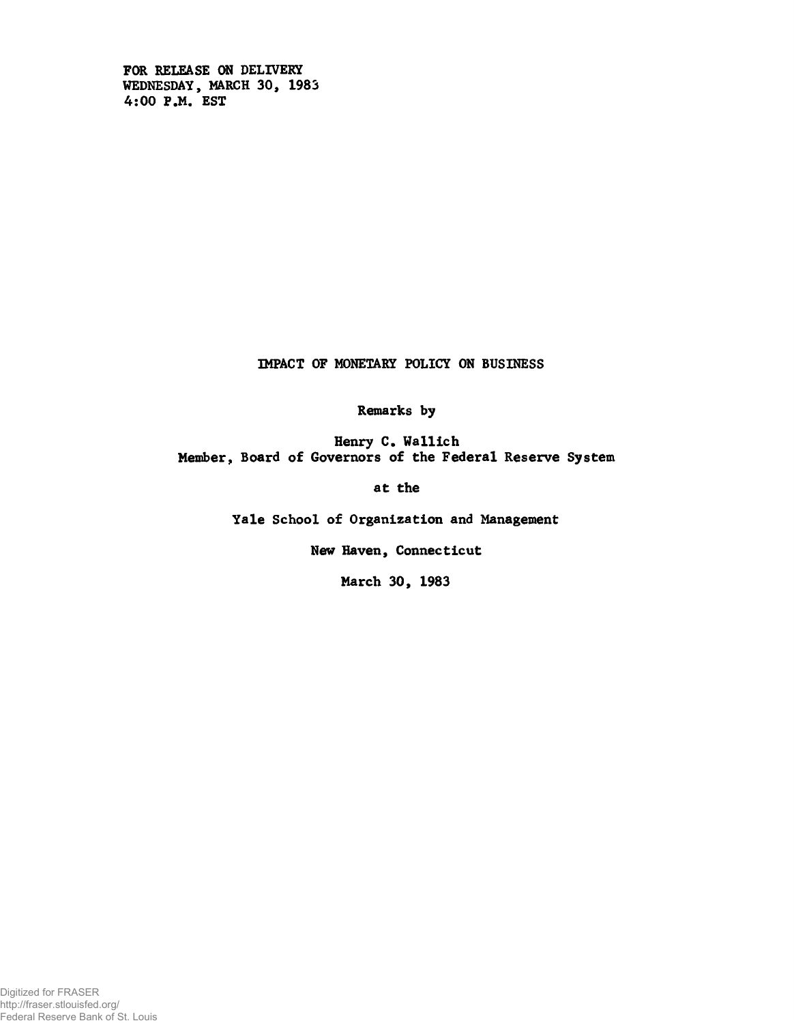**FOR RELEASE ON DELIVERY WEDNESDAY, MARCH 30, 1983 4:00 P.M. EST**

**IMPACT OF MONETARY POLICY ON BUSINESS**

**Remarks by**

**Henry C. Wallich Member, Board of Governors of the Federal Reserve System**

**at the**

**Yale School of Organization and Management**

**New Haven, Connecticut**

**March 30, 1983**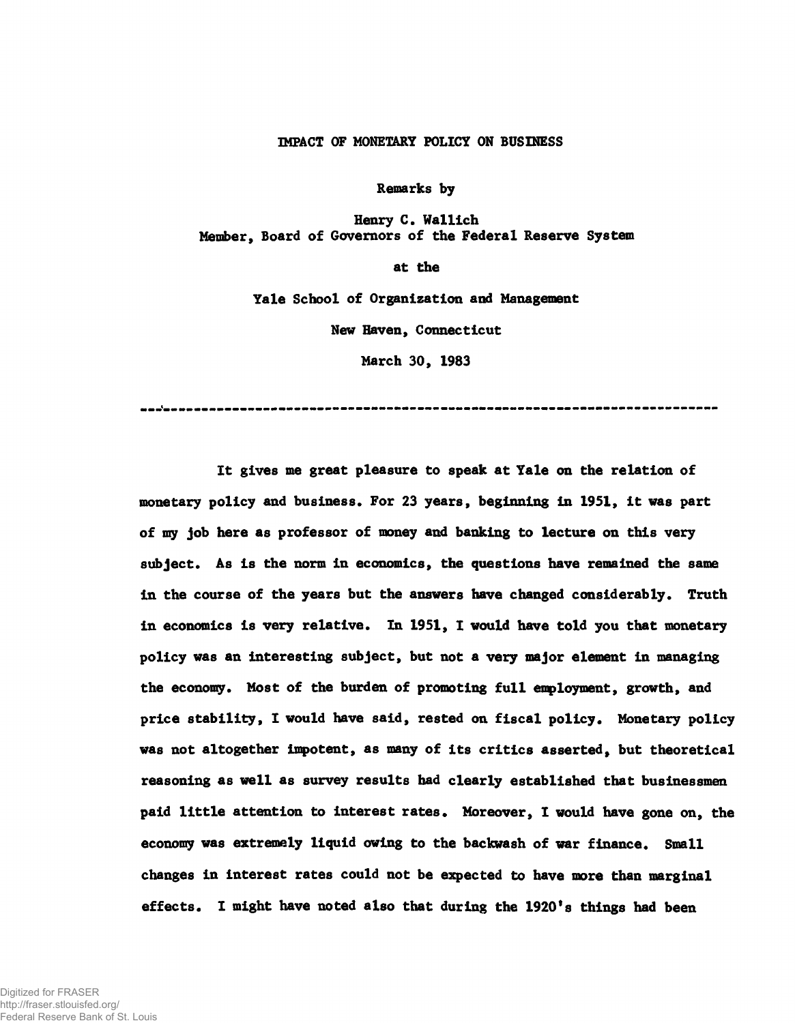#### IMPACT OF MONETARY POLICY ON BUSINESS

**Remarks by**

**Henry C. Wallich Member, Board of Governors of the Federal Reserve System**

**at the**

**Yale School of Organization and Management**

**New Haven, Connecticut**

**March 30, 1983**

**It gives me great pleasure to speak at Yale on the relation of monetary policy and business. For 23 years, beginning in 1951, it was part of my job here as professor of money and banking to lecture on this very subject. As is the norm in economics, the questions have remained the same in the course of the years but the answers have changed considerably. Truth in economics is very relative. In 1951, I would have told you that monetary policy was an interesting subject, but not a very major element in managing the economy. Most of the burden of promoting full employment, growth, and price stability, I would have said, rested on fiscal policy. Monetary policy was not altogether impotent, as many of its critics asserted, but theoretical reasoning as well as survey results had clearly established that businessmen paid little attention to interest rates. Moreover, I would have gone on, the economy was extremely liquid owing to the backwash of war finance. Small changes in interest rates could not be expected to have more than marginal effects. I might have noted also that during the 1920\*8 things had been**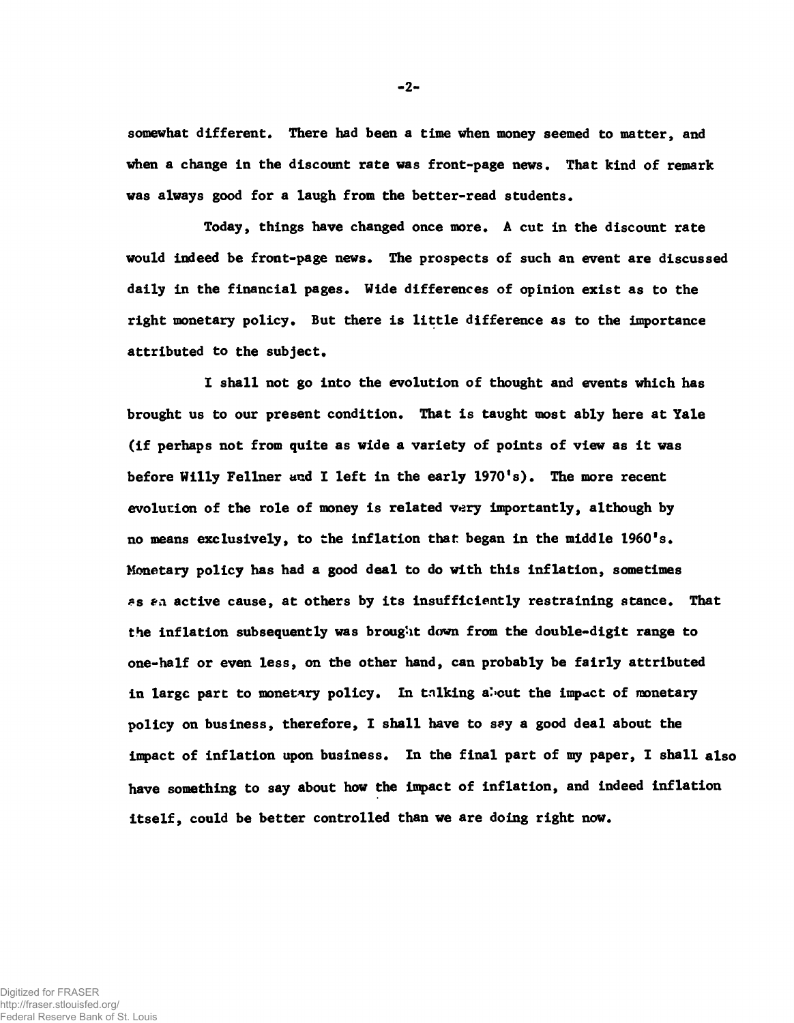**somewhat different. There had been a time when money seemed to matter, and when a change in the discount rate was front-page news. That kind of remark was always good for a laugh from the better-read students.**

**Today, things have changed once more. A cut in the discount rate would indeed be front-page news. The prospects of such an event are discussed daily in the financial pages. Wide differences of opinion exist as to the right monetary policy. But there is little difference as to the importance attributed to the subject.**

**I shall not go into the evolution of thought and events which has brought us to our present condition. That is taught most ably here at Yale (if perhaps not from quite as wide a variety of points of view as it was before Willy Fellner and I left in the early 1970's). The more recent evolution of the role of money is related very importantly, although by no means exclusively, to the inflation that began in the middle 1960's. Monetary policy has had a good deal to do with this inflation, sometimes** *»s ffCi* **active cause, at others by its insufficiently restraining stance. That the inflation subsequently was brought down from the double-digit range to one-half or even less, on the other hand, can probably be fairly attributed in large part to monetary policy. In talking a'»cut the impact of monetary policy on business, therefore, I shall have to say a good deal about the impact of inflation upon business. In the final part of my paper, I shall also have something to say about how the impact of inflation, and indeed inflation itself, could be better controlled than we are doing right now.**

 $-2-$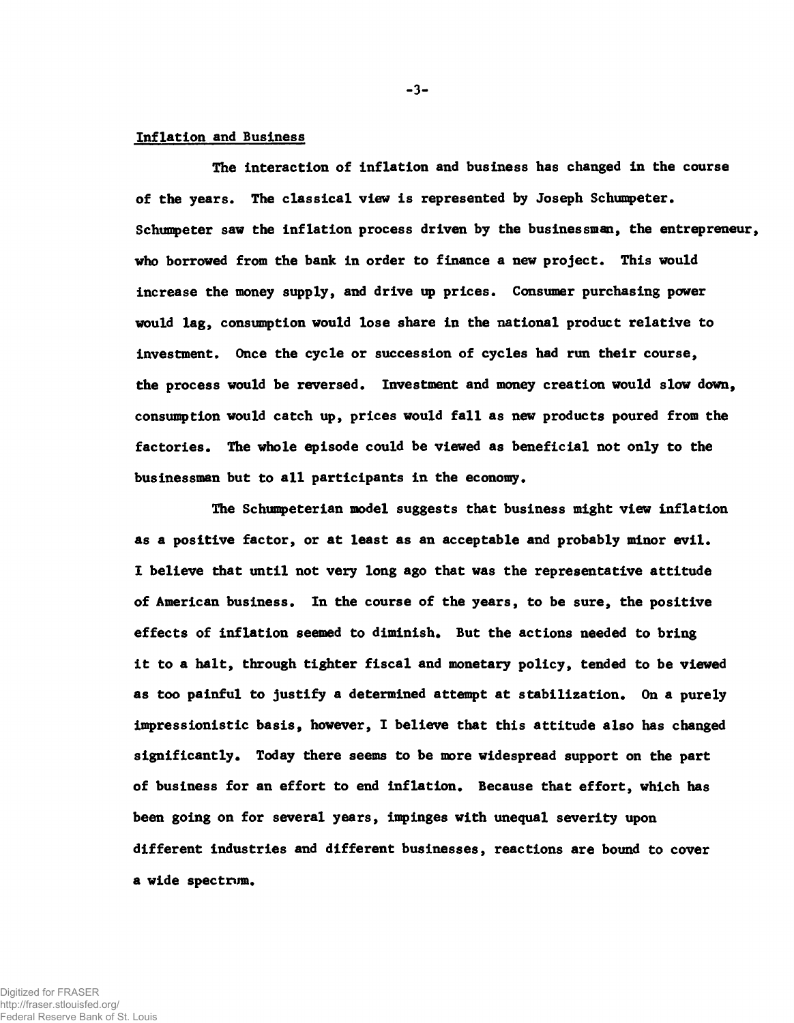#### Inflation and Business

**The interaction of Inflation and business has changed in the course of the years. The classical view is represented by Joseph Schumpeter. Schumpeter saw the inflation process driven by the businessman, the entrepreneur, who borrowed from the bank in order to finance a new project. This would increase the money supply, and drive up prices. Consumer purchasing power would lag, consumption would lose share in the national product relative to investment. Once the cycle or succession of cycles had run their course, the process would be reversed. Investment and money creation would slow down, consumption would catch up, prices would fall as new products poured from the factories. The whole episode could be viewed as beneficial not only to the businessman but to all participants in the economy.**

**The Schumpeterian model suggests that business might view inflation as a positive factor, or at least as an acceptable and probably minor evil\* I believe that until not very long ago that was the representative attitude of American business. In the course of the years, to be sure, the positive effects of inflation seemed to diminish. But the actions needed to bring it to a halt, through tighter fiscal and monetary policy, tended to be viewed as too painful to justify a determined attempt at stabilization. On a purely impressionistic basis, however, I believe that this attitude also has changed significantly. Today there seems to be more widespread support on the part of business for an effort to end inflation. Because that effort, which has been going on for several years, impinges with unequal severity upon different industries and different businesses, reactions are bound to cover a wide spectrum.**

Digitized for FRASER http://fraser.stlouisfed.org/ Federal Reserve Bank of St. Louis **- 3-**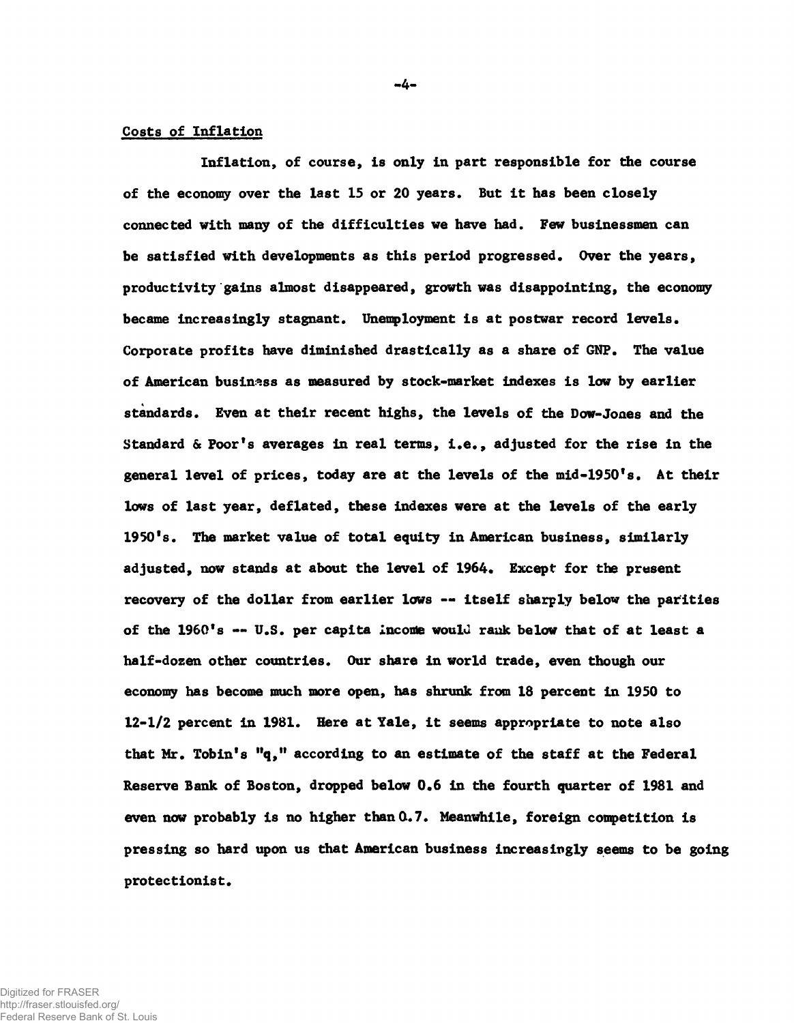### Costs of Inflation

**Inflation, of course, is only in part responsible for the course of the economy over the last 15 or 20 years. But it has been closely connected with many of the difficulties we have had. Few businessmen can be satisfied with developments as this period progressed. Over the years, productivity gains almost disappeared, growth was disappointing, the economy became increasingly stagnant. Unemployment is at postwar record levels. Corporate profits have diminished drastically as a share of GNP. The value of American business as measured by stock-market indexes is low by earlier standards. Even at their recent highs, the levels of the Dow-Jones and the Standard & Poor's averages in real terms, i.e., adjusted for the rise in the general level of prices, today are at the levels of the mid-1950's. At their lows of last year, deflated, these indexes were at the levels of the early 1950's. The market value of total equity in American business, similarly adjusted, now stands at about the level of 1964. Except for the present recovery of the dollar from earlier lows -- itself sharply below the parities of the 1960's — U.S. per capita income woulu rank below that of at least a half-dozen other countries. Our share in world trade, even though our economy has become much more open, has shrunk from 18 percent in 1950 to 12-1/2 percent in 1981. Here at Yale, it seems appropriate to note also that Mr. Tobin's "q," according to an estimate of the staff at the Federal Reserve Bank of Boston, dropped below 0.6 in the fourth quarter of 1981 and even now probably is no higher than 0.7. Meanwhile, foreign competition is pressing so hard upon us that American business increasingly seems to be going protectionist.**

Digitized for FRASER http://fraser.stlouisfed.org/ Federal Reserve Bank of St. Louis •4'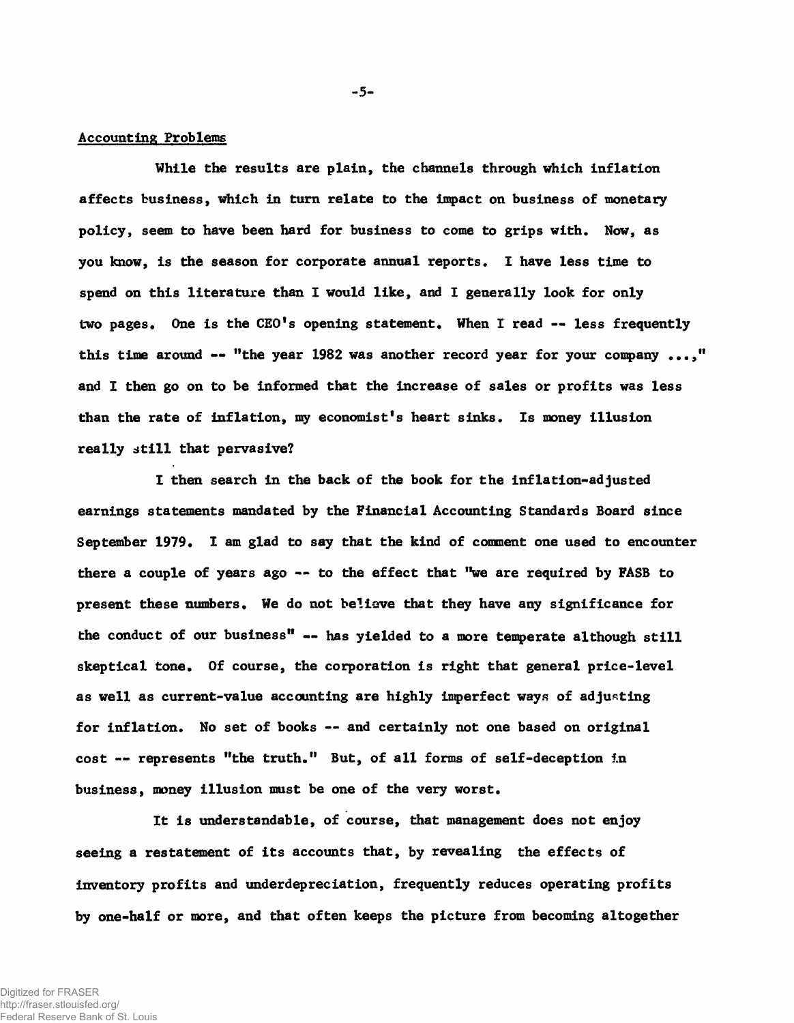## Accounting Problems

**While the results are plain, the channels through which inflation affects business, which in turn relate to the impact on business of monetary policy, seem to have been hard for business to come to grips with. Now, as you know, is the season for corporate annual reports. I have less time to spend on this literature than I would like, and I generally look for only two pages. One is the CEO's opening statement. When I read — less frequently this time around ~ "the year 1982 was another record year for your company ...," and I then go on to be informed that the increase of sales or profits was less than the rate of inflation, my economist's heart sinks. Is money illusion really still that pervasive?**

**I then search in the back of the book for the inflation-adjusted earnings statements mandated by the Financial Accounting Standards Board since September 1979. I am glad to say that the kind of comment one used to encounter there a couple of years ago — to the effect that "we are required by FASB to present these numbers. We do not believe that they have any significance for the conduct of our business" — has yielded to a more temperate although still skeptical tone. Of course, the corporation is right that general price-level as well as current-value accounting are highly imperfect ways of adjusting for inflation. No set of books — and certainly not one based on original cost — represents "the truth." But, of all forms of self-deception in business, money illusion must be one of the very worst.**

**It is understandable, of course, that management does not enjoy seeing a restatement of its accounts that, by revealing the effects of inventory profits and underdepreciation, frequently reduces operating profits by one-half or more, and that often keeps the picture from becoming altogether**

**-5-**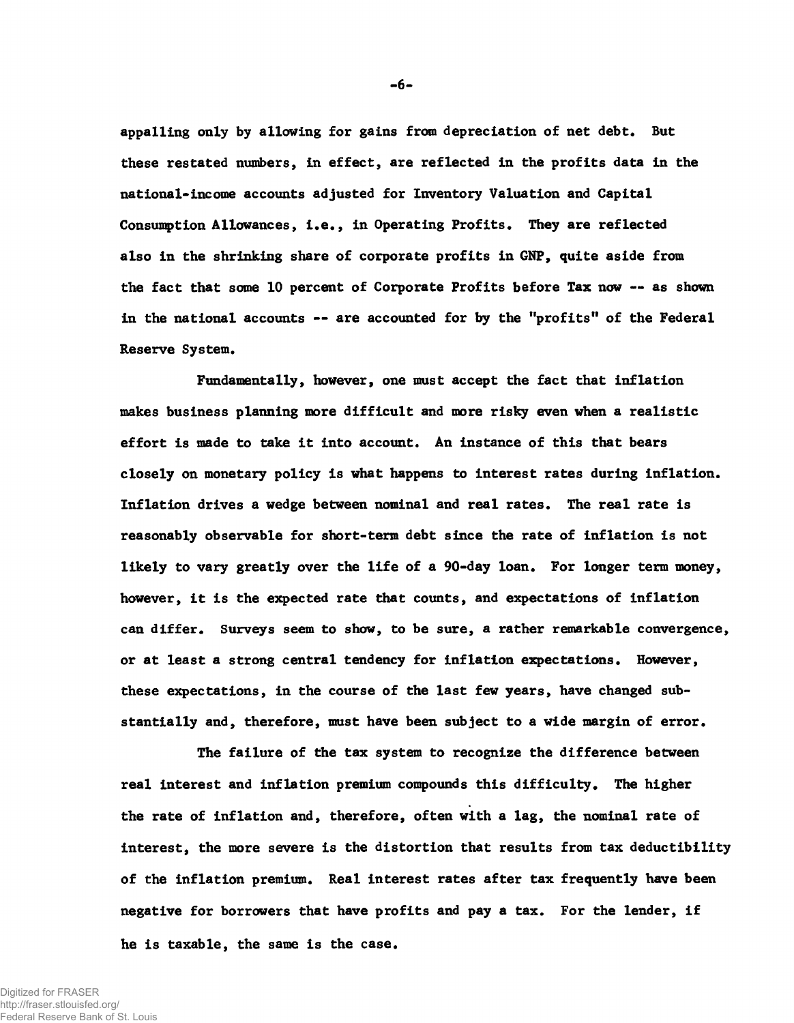**appalling only by allowing for gains from depreciation of net debt. But these restated numbers, in effect, are reflected in the profits data in the national-income accounts adjusted for Inventory Valuation and Capital Consumption Allowances, i.e., in Operating Profits. They are reflected also in the shrinking share of corporate profits in GNP, quite aside from the fact that some 10 percent of Corporate Profits before Tax now — as shown in the national accounts — are accounted for by the "profits" of the Federal Reserve System.**

**Fundamentally, however, one must accept the fact that inflation makes business planning more difficult and more risky even when a realistic effort is made to take it into account. An instance of this that bears closely on monetary policy is what happens to interest rates during inflation. Inflation drives a wedge between nominal and real rates. The real rate is reasonably observable for short-term debt since the rate of inflation is not likely to vary greatly over the life of a 90-day loan. For longer term money, however, it is the expected rate that counts, and expectations of inflation can differ. Surveys seem to show, to be sure, a rather remarkable convergence, or at least a strong central tendency for inflation expectations. However, these expectations, in the course of the last few years, have changed substantially and, therefore, must have been subject to a wide margin of error.**

**The failure of the tax system to recognize the difference between real interest and inflation premium compounds this difficulty. The higher the rate of inflation and, therefore, often with a lag, the nominal rate of interest, the more severe is the distortion that results from tax deductibility of the inflation premium. Real interest rates after tax frequently have been negative for borrowers that have profits and pay a tax. For the lender, if he is taxable, the same is the case.**

Digitized for FRASER http://fraser.stlouisfed.org/ Federal Reserve Bank of St. Louis  $-6-$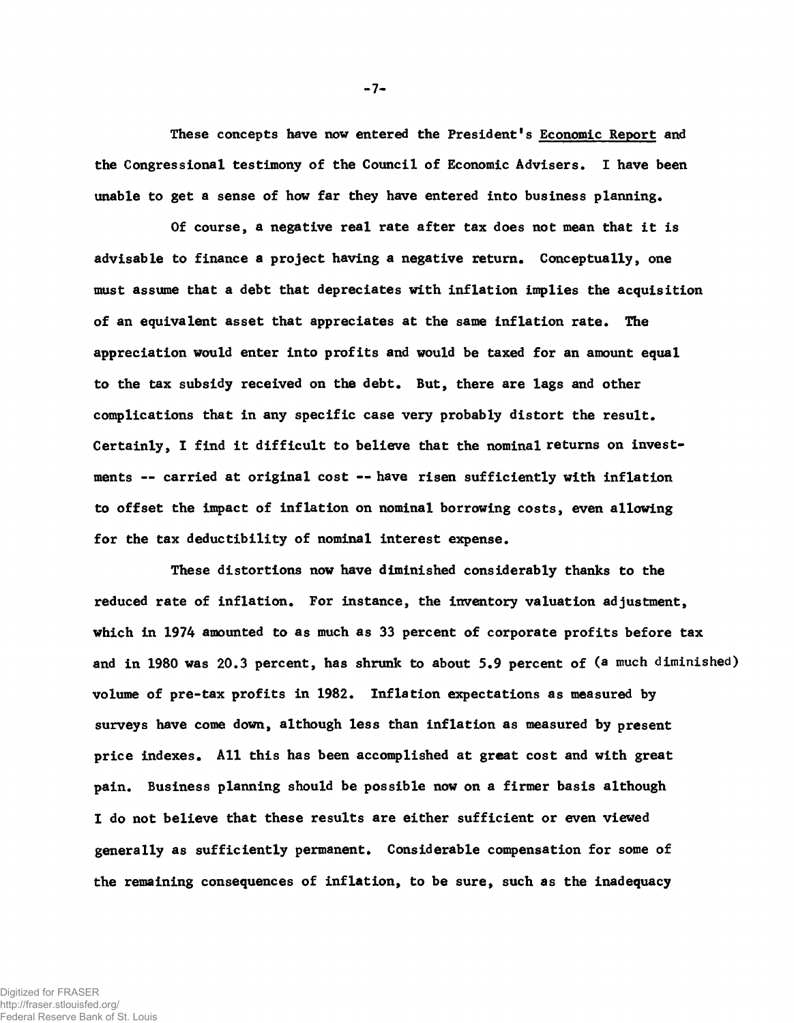**These concepts have now entered the President's Economic Report and the Congressional testimony of the Council of Economic Advisers. I have been unable to get a sense of how far they have entered into business planning.**

**Of course, a negative real rate after tax does not mean that it is advisable to finance a project having a negative return. Conceptually, one must assume that a debt that depreciates with inflation implies the acquisition of an equivalent asset that appreciates at the same inflation rate. The appreciation would enter into profits and would be taxed for an amount equal to the tax subsidy received on the debt. But, there are lags and other complications that in any specific case very probably distort the result. Certainly, I find it difficult to believe that the nominal returns on investments — carried at original cost — have risen sufficiently with inflation to offset the impact of inflation on nominal borrowing costs, even allowing for the tax deductibility of nominal interest expense.**

**These distortions now have diminished considerably thanks to the reduced rate of inflation. For instance, the inventory valuation adjustment, which in 1974 amounted to as much as 33 percent of corporate profits before tax and in 1980 was 20.3 percent, has shrunk to about 5.9 percent of (a much diminished) volume of pre-tax profits in 1982. Inflation expectations as measured by surveys have come down, although less than inflation as measured by present price indexes. All this has been accomplished at great cost and with great pain. Business planning should be possible now on a firmer basis although I do not believe that these results are either sufficient or even viewed generally as sufficiently permanent. Considerable compensation for some of the remaining consequences of inflation, to be sure, such as the inadequacy**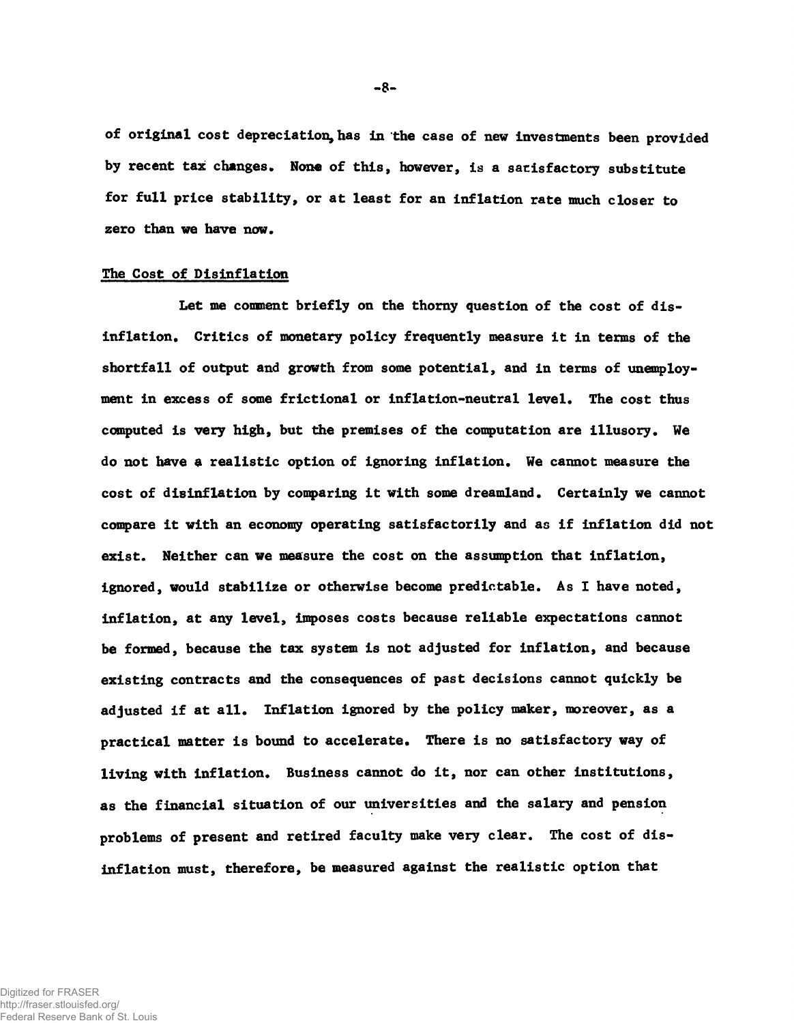**of original cost depreciation,has in the case of new investments been provided by recent tax changes. None of this, however, is a satisfactory substitute for full price stability, or at least for an inflation rate much closer to zero than we have now.**

## **The Cost of Disinflation**

**Let me comment briefly on the thorny question of the cost of disinflation. Critics of monetary policy frequently measure it in terms of the shortfall of output and growth from some potential, and in terms of unemployment in excess of some frictional or inflation-neutral level. The cost thus computed is very high, but the premises of the computation are illusory. We do not have a realistic option of ignoring inflation. We cannot measure the cost of disinflation by comparing it with some dreamland. Certainly we cannot compare it with an economy operating satisfactorily and as if inflation did not exist. Neither can we measure the cost on the assumption that inflation, ignored, would stabilize or otherwise become predictable. As I have noted, inflation, at any level, imposes costs because reliable expectations cannot be formed, because the tax system is not adjusted for inflation, and because existing contracts and the consequences of past decisions cannot quickly be adjusted if at all. Inflation ignored by the policy maker, moreover, as a practical matter is bound to accelerate. There is no satisfactory way of living with Inflation. Business cannot do it, nor can other institutions, as the financial situation of our universities and the salary and pension problems of present and retired faculty make very clear. The cost of disinflation must, therefore, be measured against the realistic option that**

Digitized for FRASER http://fraser.stlouisfed.org/ Federal Reserve Bank of St. Louis -8-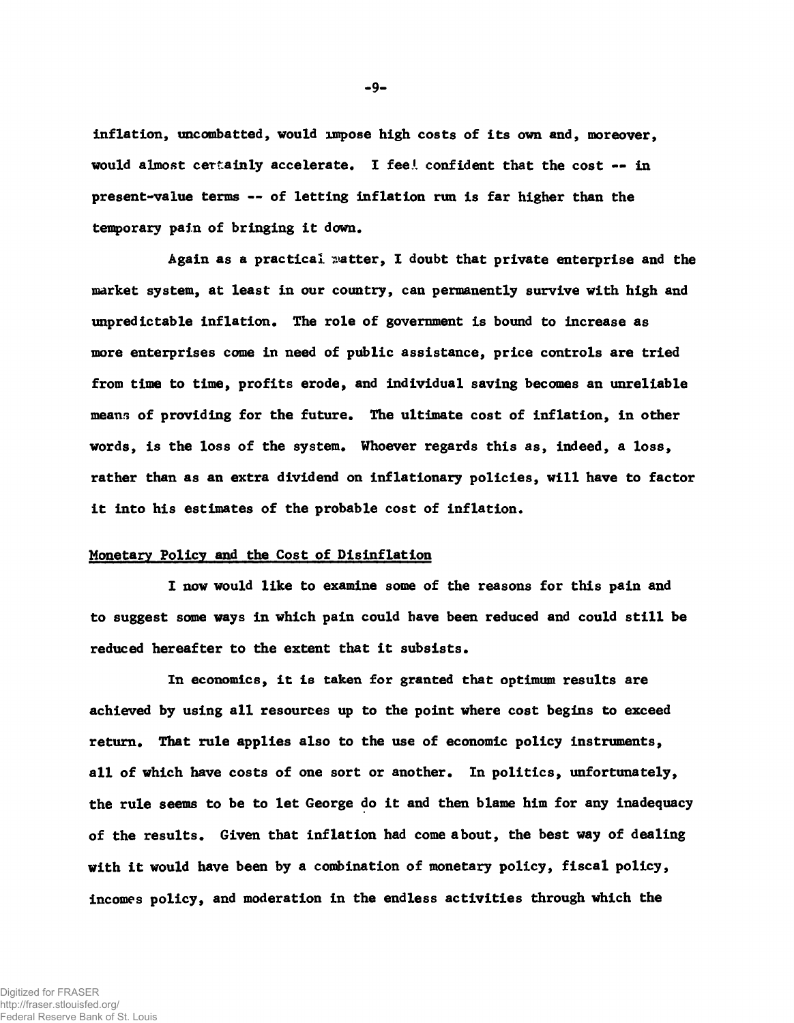**inflation, uncombatted, would impose high costs of its own and, moreover, would almost certainly accelerate. I fee.1, confident that the cost — in present-value terms — of letting inflation run is far higher than the temporary pain of bringing it down.**

**Again as a practical matter, I doubt that private enterprise and the market system, at least in our country, can permanently survive with high and unpredictable inflation. The role of government is bound to increase as more enterprises come in need of public assistance, price controls are tried from time to time, profits erode, and individual saving becomes an unreliable means of providing for the future. The ultimate cost of inflation, in other words, is the loss of the system. Whoever regards this as, indeed, a loss, rather than as an extra dividend on inflationary policies, will have to factor it into his estimates of the probable cost of inflation.**

# **Monetary Policy and the Cost of Disinflation**

**I now would like to examine some of the reasons for this pain and to suggest some ways in which pain could have been reduced and could still be reduced hereafter to the extent that it subsists.**

**In economics, it is taken for granted that optimum results are achieved by using all resources up to the point where cost begins to exceed return. That rule applies also to the use of economic policy instruments, all of which have costs of one sort or another. In politics, unfortunately, the rule seems to be to let George do it and then blame him for any inadequacy of the results. Given that inflation had come about, the best way of dealing with it would have been by a combination of monetary policy, fiscal policy, incomes policy, and moderation in the endless activities through which the**

 $-9-$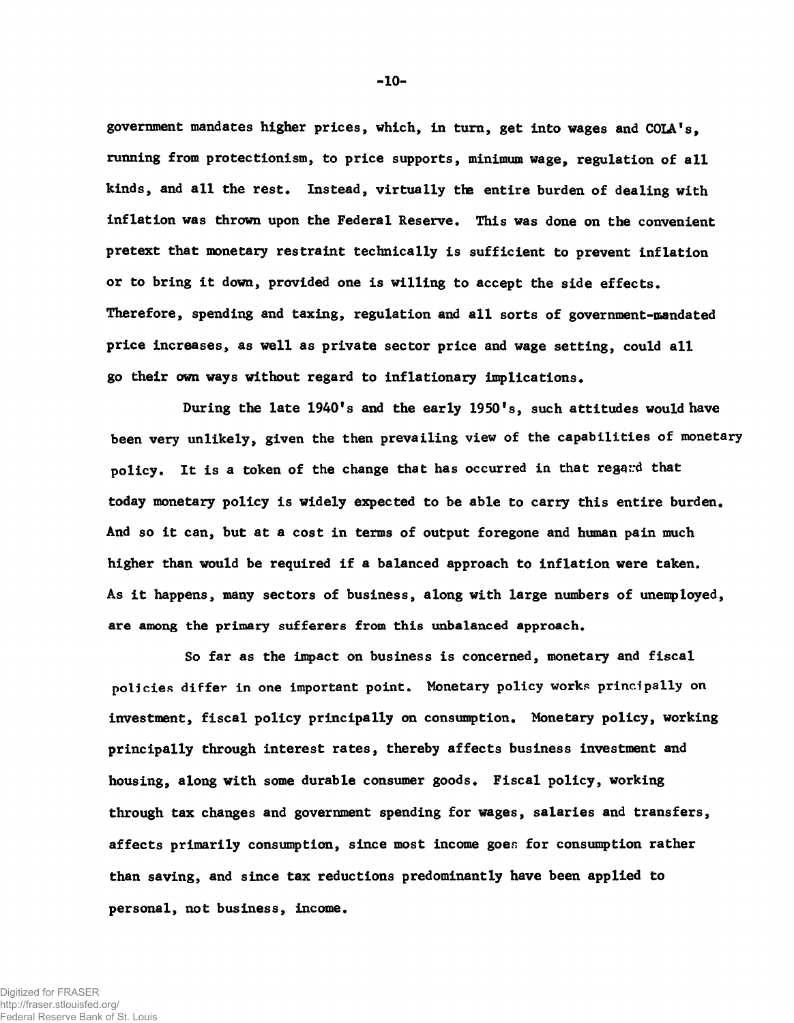**government mandates higher prices, which, in turn, get into wages and COLA's, running from protectionism, to price supports, minimum wage, regulation of all kinds, and all the rest. Instead, virtually the entire burden of dealing with inflation was thrown upon the Federal Reserve. This was done on the convenient pretext that monetary restraint technically is sufficient to prevent inflation or to bring it down, provided one is willing to accept the side effects. Therefore, spending and taxing, regulation and all sorts of government-mandated price increases, as well as private sector price and wage setting, could all go their own ways without regard to inflationary implications.**

**During the late 1940's and the early 1950's, such attitudes would have been very unlikely, given the then prevailing view of the capabilities of monetary** policy. It is a token of the change that has occurred in that regand that **today monetary policy is widely expected to be able to carry this entire burden. And so it can, but at a cost in terms of output foregone and human pain much higher than would be required if a balanced approach to inflation were taken. As it happens, many sectors of business, along with large numbers of unemployed, are among the primary sufferers from this unbalanced approach.**

**So far as the impact on business is concerned, monetary and fiscal policies** differ **in one important point. Monetary policy works principally on investment, fiscal policy principally on consumption. Monetary policy, working principally through interest rates, thereby affects business investment and housing, along with some durable consumer goods. Fiscal policy, working through tax changes and government spending for wages, salaries and transfers, affects primarily consumption, since most income goer, for consumption rather than saving, and since tax reductions predominantly have been applied to personal, not business, income.**

 $-10-$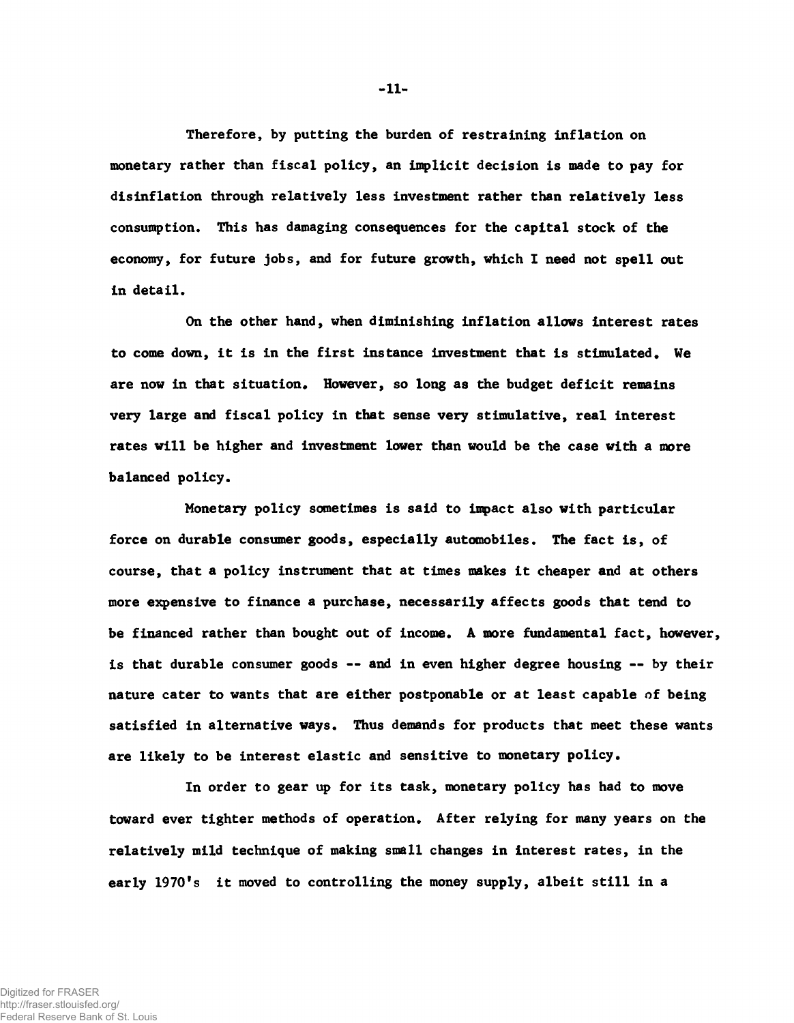**Therefore, by putting the burden of restraining inflation on monetary rather than fiscal policy, an implicit decision is made to pay for disinflation through relatively less investment rather than relatively less consumption. This has damaging consequences for the capital stock of the economy, for future jobs, and for future growth, which I need not spell out in detail.**

**On the other hand, when diminishing inflation allows interest rates to come down, it is in the first instance investment that is stimulated. We are now in that situation. However, so long as the budget deficit remains very large and fiscal policy in that sense very stimulative, real interest rates will be higher and investment lower than would be the case with a more balanced policy.**

**Monetary policy sometimes is said to impact also with particular force on durable consumer goods, especially automobiles. The fact is, of course, that a policy instrument that at times makes it cheaper and at others more expensive to finance a purchase, necessarily affects goods that tend to be financed rather than bought out of income. A more fundamental fact, however, is that durable consumer goods — and in even higher degree housing — by their nature cater to wants that are either postponable or at least capable of being satisfied in alternative ways. Thus demands for products that meet these wants are likely to be interest elastic and sensitive to monetary policy.**

**In order to gear up for its task, monetary policy has had to move toward ever tighter methods of operation. After relying for many years on the relatively mild technique of making small changes in interest rates, in the early 1970's it moved to controlling the money supply, albeit still in a**

-11-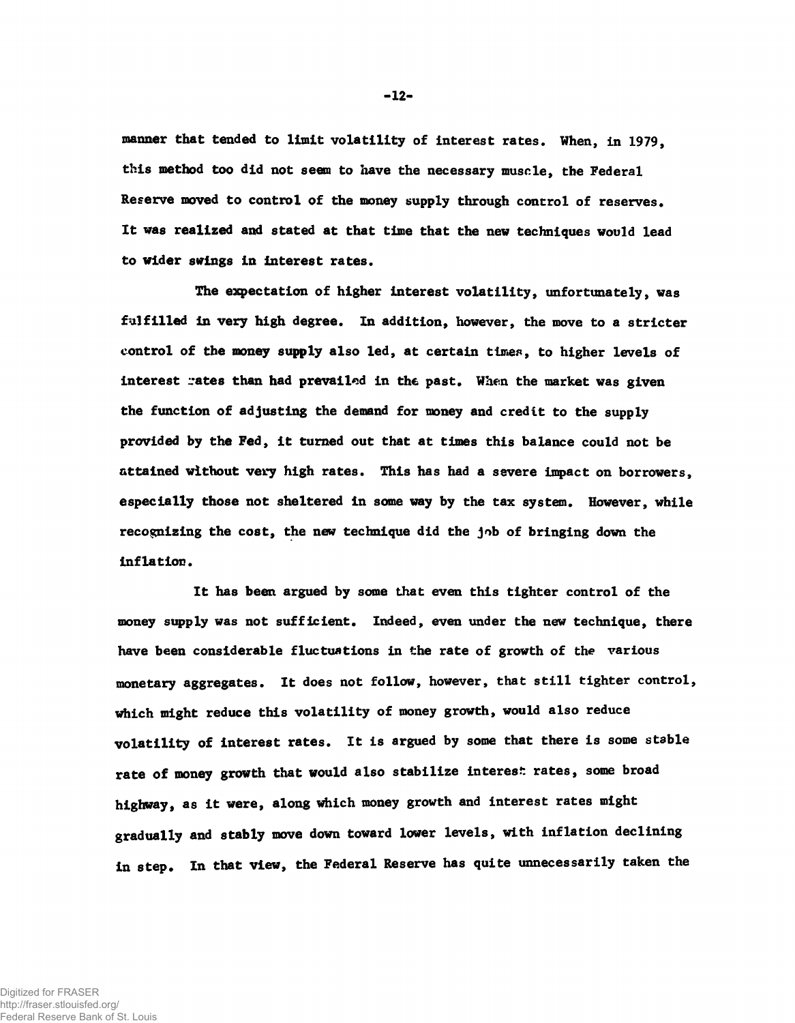**manner that tended to limit volatility of interest rates. When, in 1979, this method too did not seem to have the necessary muscle, the Federal Reserve moved to control of the money supply through control of reserves. It was realized and stated at that time that the new techniques would lead to wider swings in interest rates.**

**The expectation of higher interest volatility, unfortunately, was fulfilled in very high degree. In addition, however, the move to a stricter control of the money supply also led, at certain times, to higher levels of interest rates than had prevailed in the past. When the market was given the function of adjusting the demand for money and credit to the supply provided by the Fed, it turned out that at times this balance could not be attained without very high rates. This has had a severe impact on borrowers, especially those not sheltered in some way by the tax system. However, while recognizing the cost, the new technique did the job of bringing down the inflation.**

**It has been argued by some that even this tighter control of the money supply was not sufficient. Indeed, even under the new technique, there have been considerable fluctuations in the rate of growth of the various monetary aggregates. It does not follow, however, that still tighter control, which might reduce this volatility of money growth, would also reduce volatility of interest rates. It is argued by some that there is some stable rate of money growth that would also stabilize interest rates, some broad highway, as it were, along which money growth and interest rates might gradually and stably move down toward lower levels, with inflation declining in step. In that view, the Federal Reserve has quite unnecessarily taken the**

 $-12-$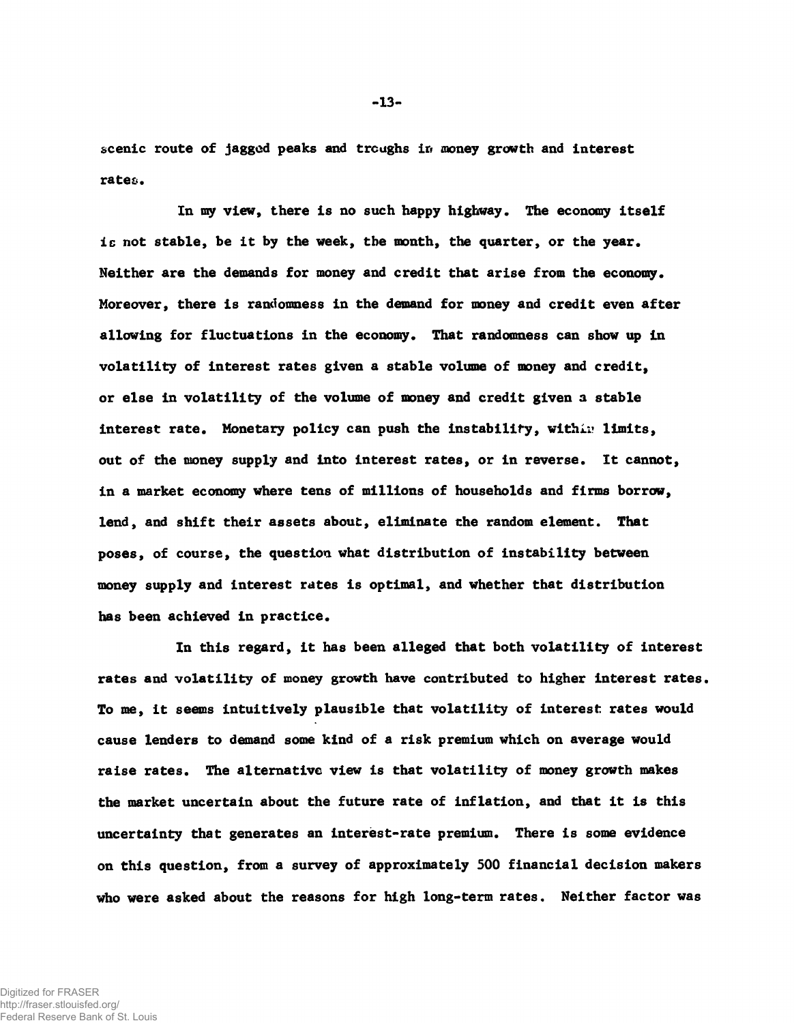**scenic route of jagged peaks and troughs ir< money growth and interest rates.**

**In my view, there is no such happy highway. The economy itself ic not stable, be it by the week, the month, the quarter, or the year. Neither are the demands for money and credit that arise from the economy. Moreover, there is randomness in the demand for money and credit even after allowing for fluctuations in the economy. That randomness can show up in volatility of interest rates given a stable volume of money and credit, or else in volatility of the volume of money and credit given a stable interest rate. Monetary policy can push the instability, vithi;? limits, out of the money supply and into interest rates, or in reverse. It cannot, in a market economy where tens of millions of households and firms borrow, lend, and shift their assets about, eliminate the random element. That poses, of course, the question what distribution of instability between money supply and interest rates is optimal, and whether that distribution has been achieved in practice.**

**In this regard, it has been alleged that both volatility of interest rates and volatility of money growth have contributed to higher interest rates. To me, it seems intuitively plausible that volatility of interest rates would cause lenders to** demand **some kind of a risk premium which on average would raise rates. The alternative view is that volatility of money growth makes the market uncertain about the future rate of inflation, and that it is this uncertainty that generates an interest-rate premium. There is some evidence on this question, from a survey of approximately 500 financial decision makers who were asked about the reasons for high long-term rates. Neither factor was**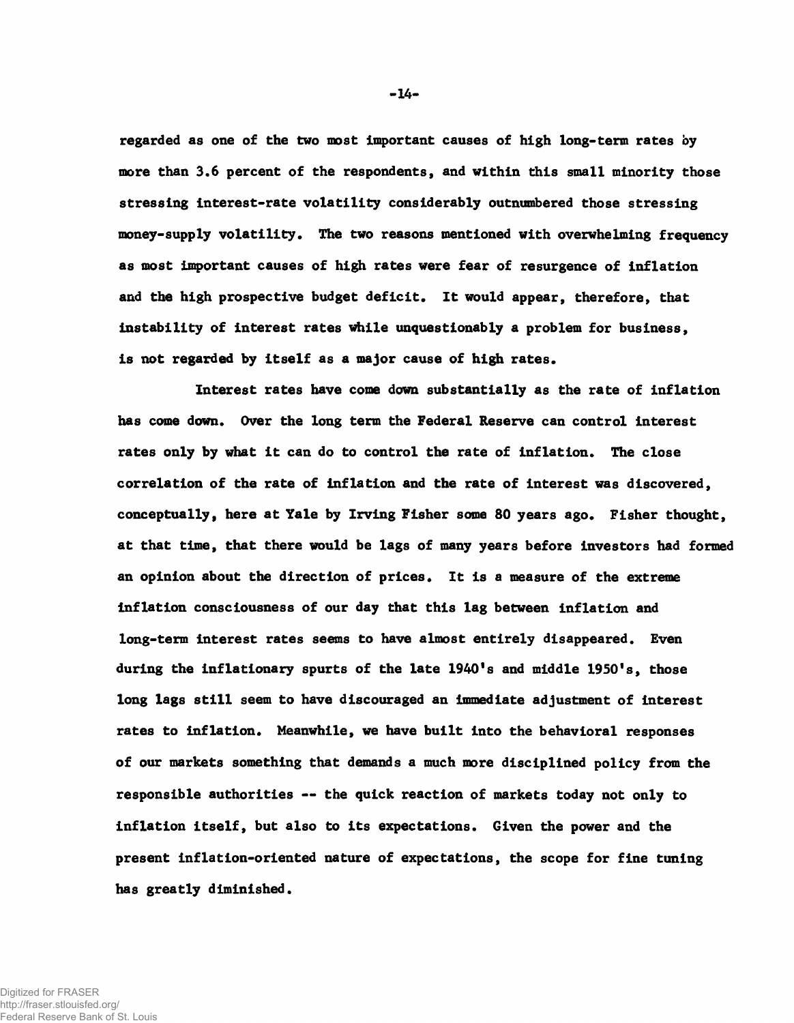**regarded as one of the two most important causes of high long-term rates by more than 3.6 percent of the respondents, and within this small minority those stressing interest-rate volatility considerably outnumbered those stressing money-supply volatility. The two reasons mentioned with overwhelming frequency as most important causes of high rates were fear of resurgence of inflation and the high prospective budget deficit. It would appear, therefore, that instability of interest rates while unquestionably a problem for business, is not regarded by itself as a major cause of high rates.**

**Interest rates have come down substantially as the rate of inflation has come down. Over the long term the Federal Reserve can control interest rates only by what it can do to control the rate of inflation. The close correlation of the rate of inflation and the rate of interest was discovered, conceptually, here at Yale by Irving Fisher some 80 years ago. Fisher thought, at that time, that there would be lags of many years before investors had formed an opinion about the direction of prices. It is a measure of the extreme inflation consciousness of our day that this lag between inflation and long-term interest rates seems to have almost entirely disappeared. Even during the inflationary spurts of the late 1940's and middle 1950's, those long lags still seem to have discouraged an immediate adjustment of interest rates to inflation. Meanwhile, we have built into the behavioral responses of our markets something that demands a much more disciplined policy from the responsible authorities — the quick reaction of markets today not only to inflation itself, but also to its expectations. Given the power and the present inflation-oriented nature of expectations, the scope for fine tuning has greatly diminished.**

 $-14-$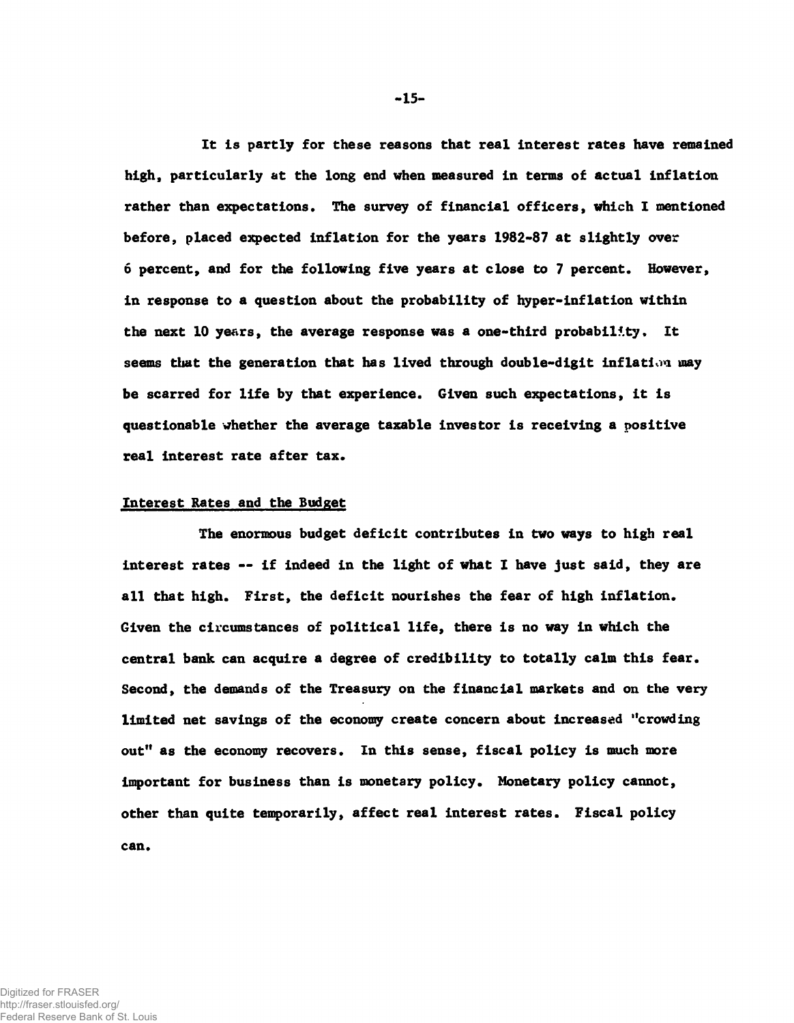**It is partly for these reasons that real interest rates have remained high, particularly at the long end when measured in terms of actual inflation rather than expectations. The survey of financial officers, which I mentioned before, placed expected inflation for the years 1982-87 at slightly over 6 percent, and for the following five years at close to 7 percent. However, in response to a question about the probability of hyper-inflation within the next 10 years, the average response was a one-third probability. It seems that the generation that has lived through double-digit inflation may be scarred for life by that experience. Given such expectations, it is questionable whether the average taxable investor is receiving a positive real interest rate after tax.**

#### **Interest Rates and the Budget**

**The enormous budget deficit contributes in two ways to high real interest rates — if indeed in the light of what I have just said, they are all that high. First, the deficit nourishes the fear of high inflation. Given the circumstances of political life, there is no way in which the central bank can acquire a degree of credibility to totally calm this fear. Second, the demands of the Treasury on the financial markets and on the very limited net savings of the economy create concern about increased "crowding out" as the economy recovers. In this sense, fiscal policy is much more important for business than is monetary policy. Monetary policy cannot, other than quite temporarily, affect real interest rates. Fiscal policy can.**

-15-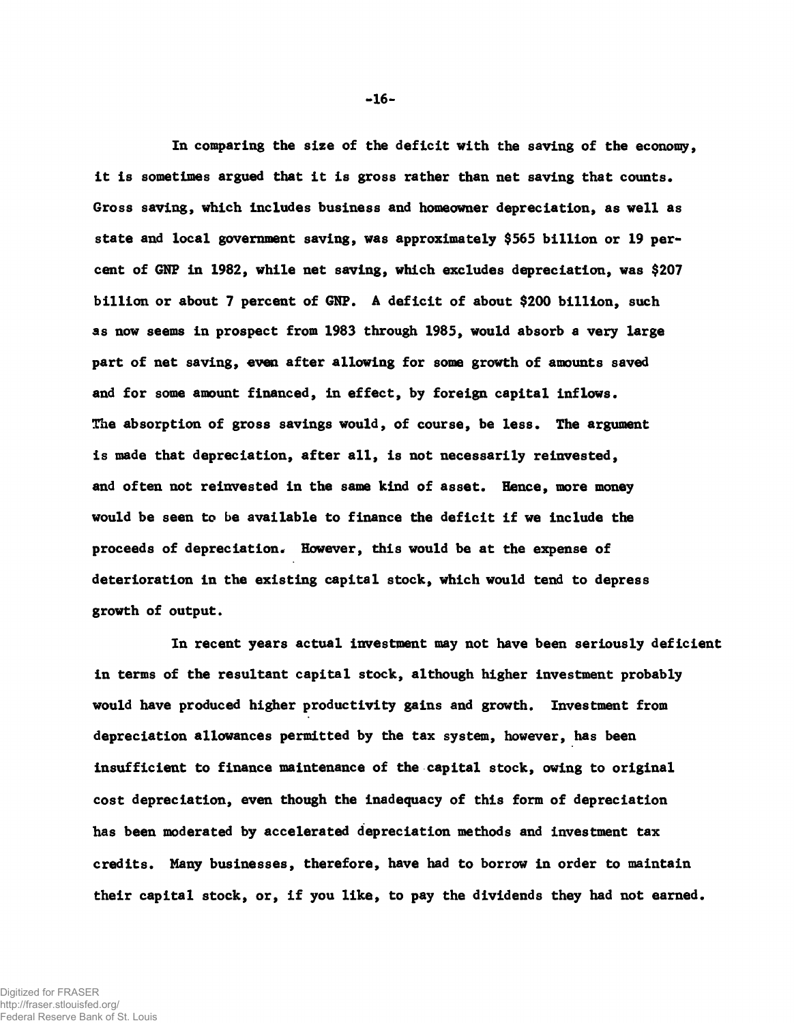**In comparing the size of the deficit with the saving of the economy, it is sometimes argued that it is gross rather than net saving that counts. Gross saving, which includes business and homeowner depreciation, as well as state and local government saving, was approximately \$565 billion or 19 percent of GNP in 1982, while net saving, which excludes depreciation, was \$207 billion or about 7 percent of GNP. A deficit of about \$200 billion, such as now seems in prospect from 1983 through 1985, would absorb a very large part of net saving, even after allowing for some growth of amounts saved and for some amount financed, in effect, by foreign capital inflows. The absorption of gross savings would, of course, be less. The argument is made that depreciation, after all, is not necessarily reinvested, and often not reinvested in the same kind of asset. Hence, more money would be seen to be available to finance the deficit if we include the proceeds of depreciation. However, this would be at the expense of deterioration in the existing capital stock, which would tend to depress growth of output.**

**In recent years actual investment may not have been seriously deficient in terms of the resultant capital stock, although higher investment probably would have produced higher productivity gains and growth. Investment from depreciation allowances permitted by the tax system, however, has been insufficient to finance maintenance of the capital stock, owing to original cost depreciation, even though the inadequacy of this form of depreciation has been moderated by accelerated depreciation methods and investment tax credits. Many businesses, therefore, have had to borrow in order to maintain their capital stock, or, if you like, to pay the dividends they had not earned.**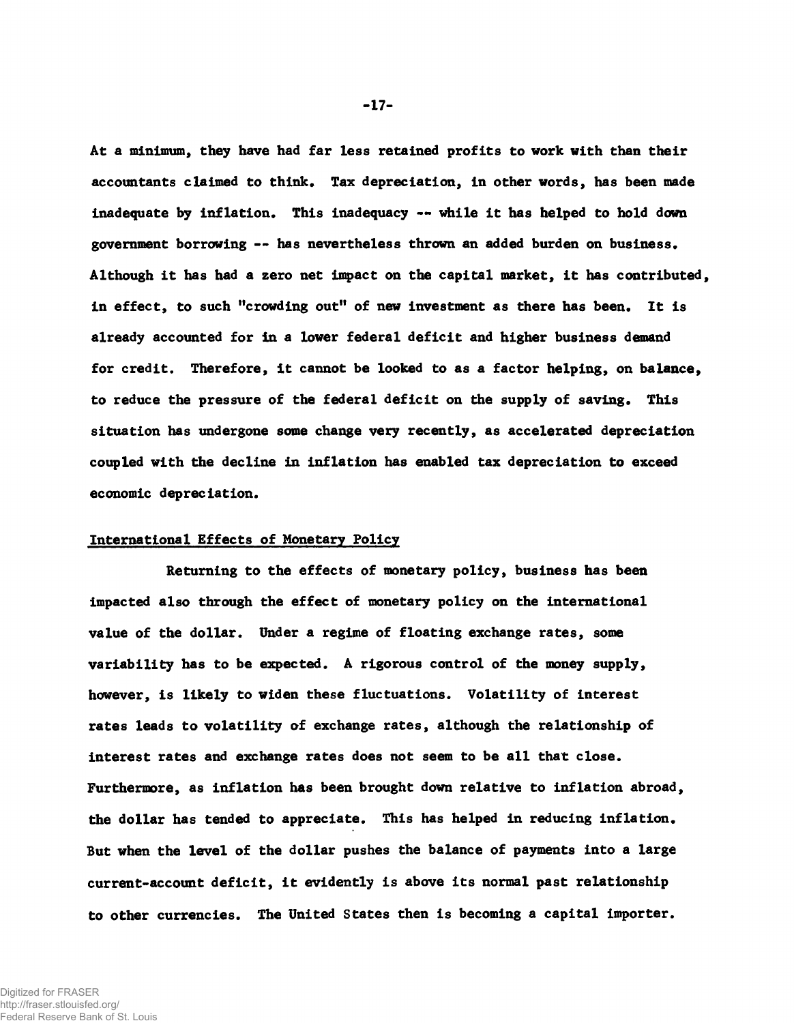**At a minimum, they have had far less retained profits to work with than their accountants claimed to think. Tax depreciation, in other words, has been made inadequate by inflation. This inadequacy — while it has helped to hold down government borrowing — has nevertheless thrown an added burden on business. Although it has had a zero net impact on the capital market, it has contributed, in effect, to such "crowding out" of new investment as there has been. It is already accounted for in a lower federal deficit and higher business demand for credit. Therefore, it cannot be looked to as a factor helping, on balance, to reduce the pressure of the federal deficit on the supply of saving. This situation has undergone some change very recently, as accelerated depreciation coupled with the decline in inflation has enabled tax depreciation to exceed economic depreciation.**

### **International Effects of Monetary Policy**

**Returning to the effects of monetary policy, business has been impacted also through the effect of monetary policy on the international value of the dollar. Under a regime of floating exchange rates, some variability has to be expected. A rigorous control of the money supply, however, is likely to widen these fluctuations. Volatility of interest rates leads to volatility of exchange rates, although the relationship of interest rates and exchange rates does not seem to be all that close. Furthermore, as inflation has been brought down relative to inflation abroad, the dollar has tended to appreciate. This has helped in reducing inflation. But when the level of the dollar pushes the balance of payments into a large current-account deficit, it evidently is above its normal past relationship to other currencies. The United States then is becoming a capital importer.**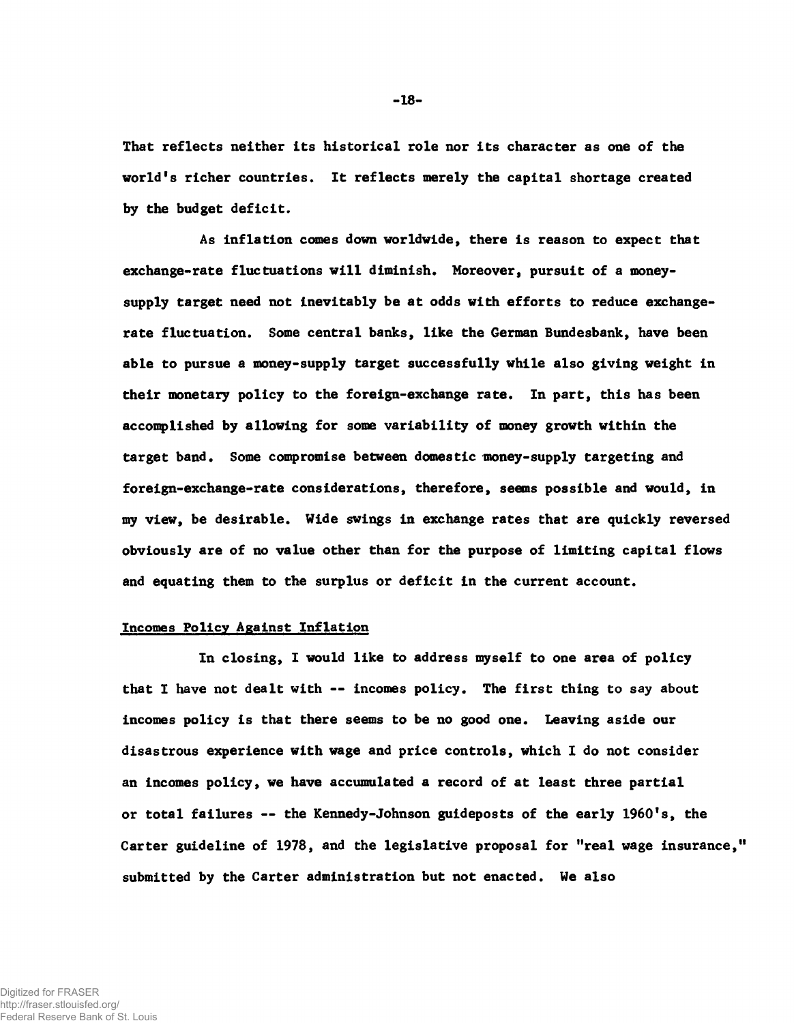**That reflects neither its historical role nor its character as one of the world's richer countries. It reflects merely the capital shortage created by the budget deficit.**

**As inflation comes down worldwide, there is reason to expect that exchange-rate fluctuations will diminish. Moreover, pursuit of a moneysupply target need not inevitably be at odds with efforts to reduce exchangerate fluctuation. Some central banks, like the German Bundesbank, have been able to pursue a money-supply target successfully while also giving weight in their monetary policy to the foreign-exchange rate. In part, this has been accomplished by allowing for some variability of money growth within the target band. Some compromise between domestic money-supply targeting and foreign-exchange-rate considerations, therefore, seems possible and would, in my view, be desirable. Wide swings in exchange rates that are quickly reversed obviously are of no value other than for the purpose of limiting capital flows and equating them to the surplus or deficit in the current account.**

## **Incomes Policy Against Inflation**

**In closing, I would like to address myself to one area of policy that I have not dealt with — incomes policy. The first thing to say about incomes policy is that there seems to be no good one. Leaving aside our disastrous experience with wage and price controls, which I do not consider an incomes policy, we have accumulated a record of at least three partial or total failures — the Kennedy-Johnson guideposts of the early 1960's, the Carter guideline of 1978, and the legislative proposal for "real wage insurance," submitted by the Carter administration but not enacted. We also**

**-18-**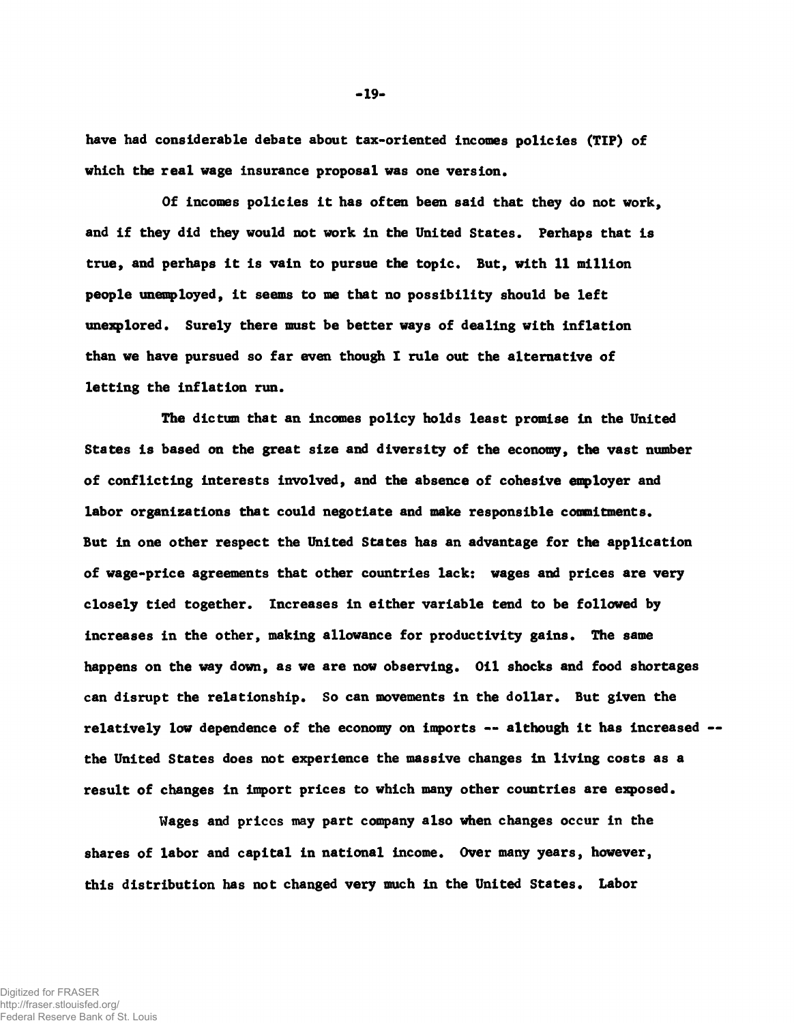**have had considerable debate about tax-oriented incomes policies (TIP) of which the real wage insurance proposal was one version.**

**Of incomes policies it has often been said that they do not work, and if they did they would not work in the United States. Perhaps that is true, and perhaps it is vain to pursue the topic. But, with 11 million people unemployed, it seems to me that no possibility should be left unexplored. Surely there must be better ways of dealing with inflation than we have pursued so far even though I rule out the alternative of letting the inflation run.**

**The dictum that an incomes policy holds least promise in the United States is based on the great size and diversity of the economy, the vast number of conflicting interests involved, and the absence of cohesive employer and labor organizations that could negotiate and make responsible commitments. But in one other respect the United States has an advantage for the application of wage-price agreements that other countries lack: wages and prices are very closely tied together. Increases in either variable tend to be followed by increases in the other, making allowance for productivity gains. The same happens on the way down, as we are now observing. Oil shocks and food shortages can disrupt the relationship. So can movements in the dollar. But given the relatively low dependence of the economy on imports — although it has increased the United States does not experience the massive changes in living costs as a result of changes in import prices to which many other countries are exposed.**

**Wages and priccs may part company also when changes occur in the shares of labor and capital in national income. Over many years, however, this distribution has not changed very much in the United States. Labor**

 $-19-$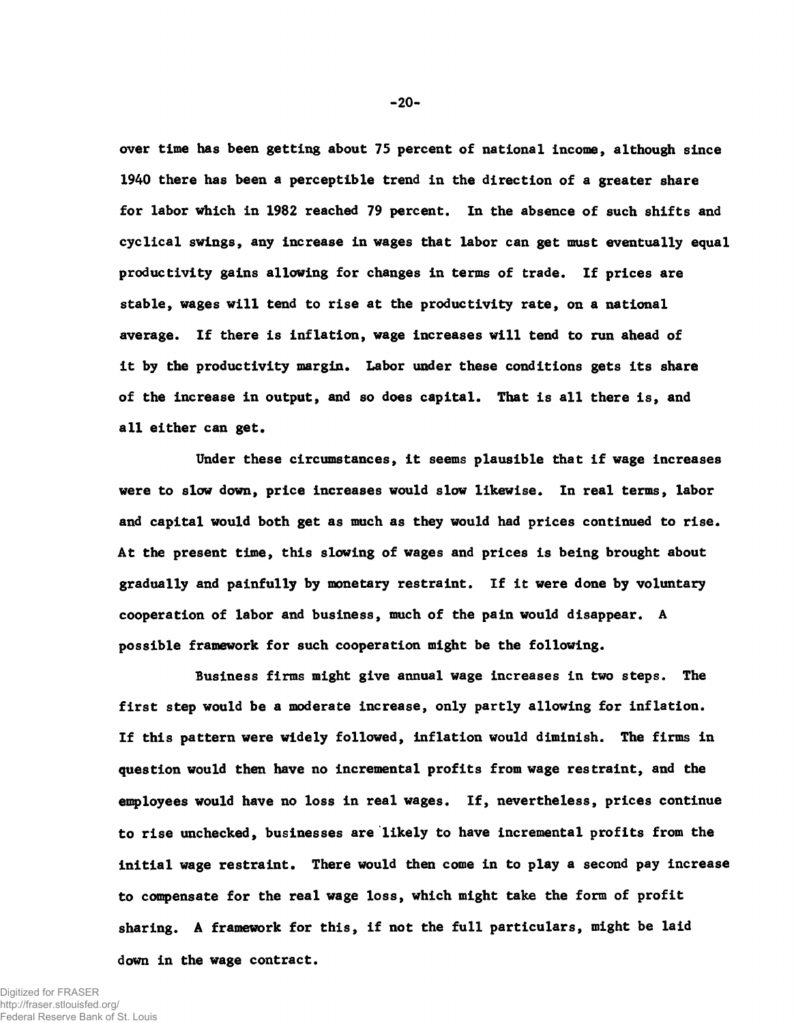**over time has been getting about 75 percent of national income, although since 1940 there has been a perceptible trend in the direction of a greater share for labor which in 1982 reached 79 percent. In the absence of such shifts and cyclical swings, any increase in wages that labor can get must eventually equal productivity gains allowing for changes in terms of trade. If prices are stable, wages will tend to rise at the productivity rate, on a national average. If there is inflation, wage increases will tend to run ahead of it by the productivity margin. Labor under these conditions gets its share of the increase in output, and so does capital. That is all there is, and all either can get.**

**Under these circumstances, it seems plausible that if wage increases were to slow down, price increases would slow likewise. In real terms, labor and capital would both get as much as they would had prices continued to rise. At the present time, this slowing of wages and prices is being brought about gradually and painfully by monetary restraint. If it were done by voluntary cooperation of labor and business, much of the pain would disappear. A possible framework for such cooperation might be the following.**

**Business firms might give annual wage increases in two steps. The first step would be a moderate increase, only partly allowing for inflation. If this pattern were widely followed, inflation would diminish. The firms in question would then have no incremental profits from wage restraint, and the employees would have no loss in real wages. If, nevertheless, prices continue to rise unchecked, businesses are likely to have incremental profits from the initial wage restraint. There would then come in to play a second pay increase to compensate for the real wage loss, which might take the form of profit sharing. A framework for this, if not the full particulars, might be laid down in the wage contract.**

 $-20-$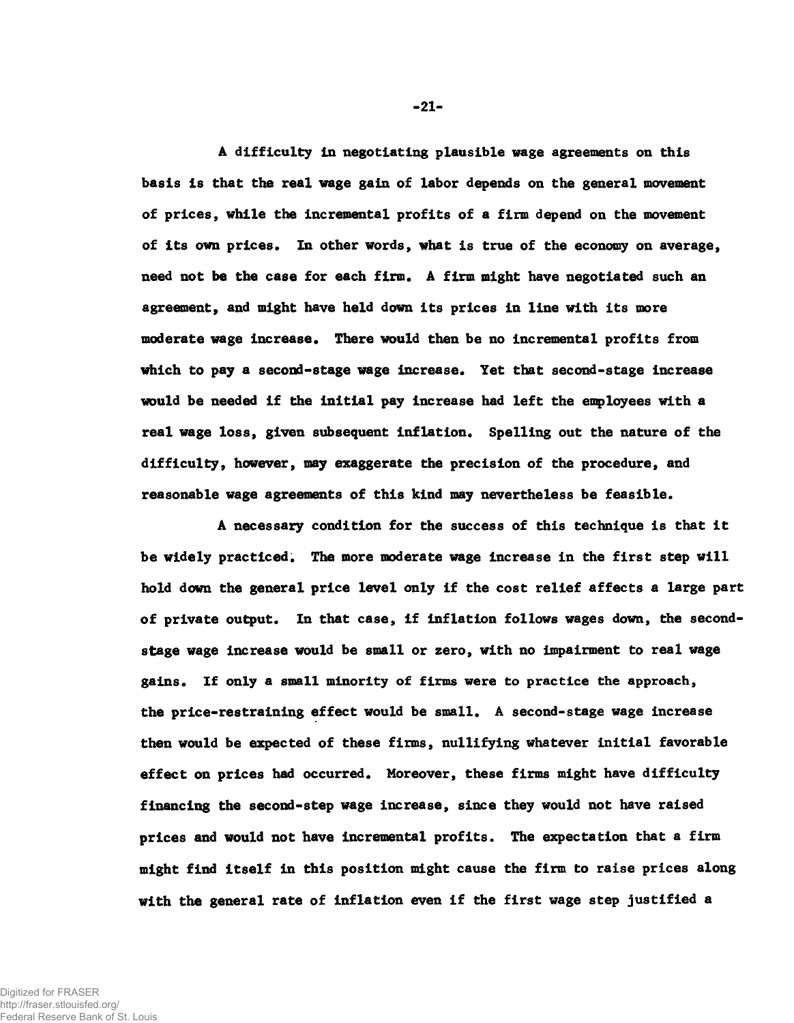**A difficulty in negotiating plausible wage agreements on this basis is that the real wage gain of labor depends on the general movement of prices, while the incremental profits of a firm depend on the movement of its own prices. In other words, what is true of the economy on average, need not be the case for each firm. A firm might have negotiated such an agreement, and might have held down its prices in line with its more moderate wage increase. There would then be no incremental profits from which to pay a second-stage wage increase. Yet that second-stage increase would be needed if the initial pay increase had left the employees with a real wage loss, given subsequent inflation. Spelling out the nature of the difficulty, however, may exaggerate the precision of the procedure, and reasonable wage agreements of this kind may nevertheless be feasible.**

**A necessary condition for the success of this technique is that it be widely practiced. The more moderate wage increase in the first step will hold down the general price level only if the cost relief affects a large part of private output. In that case, if inflation follows wages down, the secondstage wage increase would be small or zero, with no impairment to real wage gains. If only a small minority of firms were to practice the approach, the price-restraining effect would be small. A second-stage wage increase then would be expected of these firms, nullifying whatever initial favorable effect on prices had occurred. Moreover, these firms might have difficulty financing the second-step wage increase, since they would not have raised prices and would not have incremental profits. The expectation that a firm might find itself in this position might cause the firm to raise prices along with the general rate of inflation even if the first wage step justified a**

 $-21-$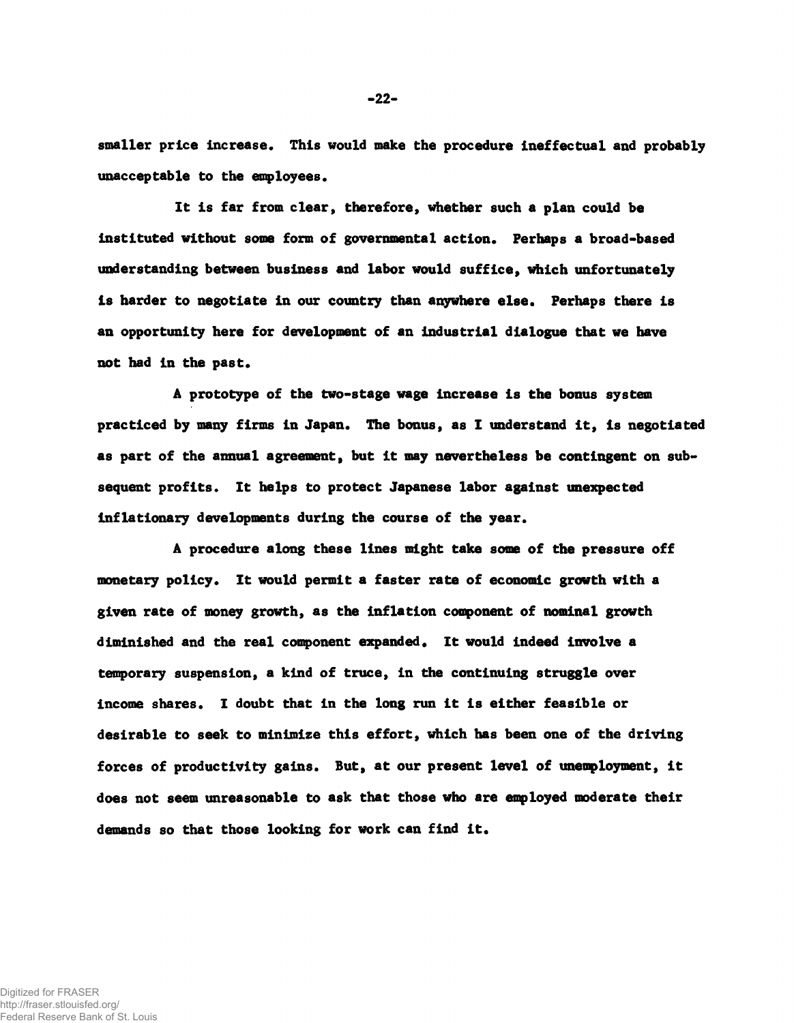**smallec price increase. This would make the procedure ineffectual and probably unacceptable to the employees.**

**It is far from clear, therefore, whether such a plan could be instituted without some form of governmental action. Perhaps a broad-based understanding between business and labor would suffice, which unfortunately is harder to negotiate in our country than anywhere else. Perhaps there is an opportunity here for development of an industrial dialogue that we have not had in the past.**

**A prototype of the two-stage wage increase is the bonus system practiced by many firms in Japan. Hie bonus, as I understand it, is negotiated as part of the annual agreement, but it may nevertheless be contingent on subsequent profits. It helps to protect Japanese labor against unexpected inflationary developments during the course of the year.**

**A procedure along these lines might take some of the pressure off monetary policy. It would permit a faster rate of economic growth with a given rate of money growth, as the inflation component of nominal growth diminished and the real component expanded. It would indeed involve a temporary suspension, a kind of truce, in the continuing struggle over income shares. I doubt that in the long run it is either feasible or desirable to seek to minimize this effort, which has been one of the driving forces of productivity gains. But, at our present level of unemployment, it does not seem unreasonable to ask that those who are employed moderate their demands so that those looking for work can find it.**

Digitized for FRASER http://fraser.stlouisfed.org/ Federal Reserve Bank of St. Louis